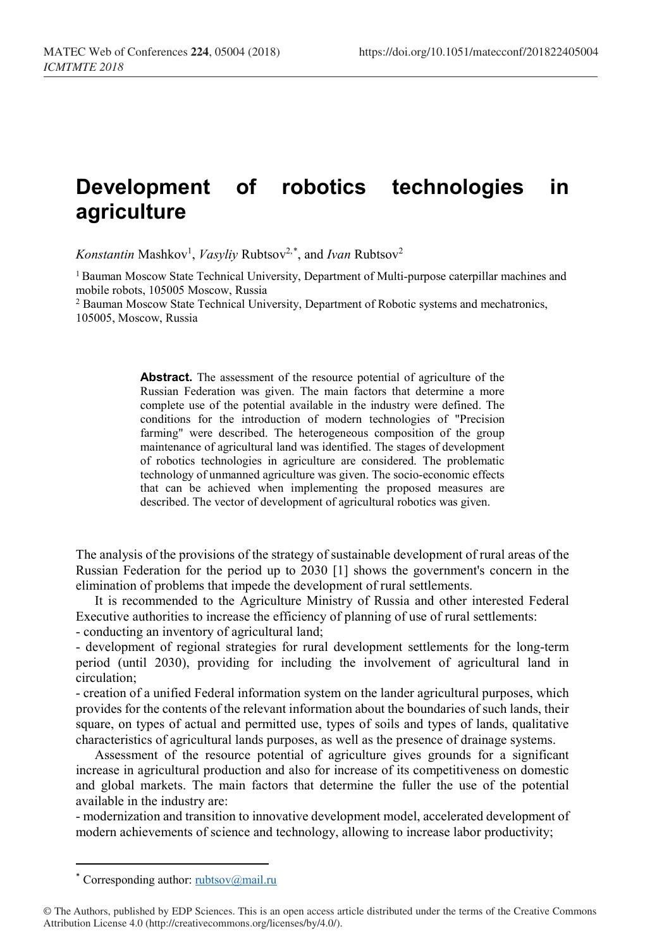## **Development of robotics technologies in agriculture**

Konstantin Mashkov<sup>1</sup>, *Vasyliy* Rubtsov<sup>2,[\\*](#page-0-0)</sup>, and *Ivan* Rubtsov<sup>2</sup>

1 Bauman Moscow State Technical University, Department of Multi-purpose caterpillar machines and mobile robots, 105005 Moscow, Russia

<sup>2</sup> Bauman Moscow State Technical University, Department of Robotic systems and mechatronics, 105005, Moscow, Russia

> Abstract. The assessment of the resource potential of agriculture of the Russian Federation was given. The main factors that determine a more complete use of the potential available in the industry were defined. The conditions for the introduction of modern technologies of "Precision farming" were described. The heterogeneous composition of the group maintenance of agricultural land was identified. The stages of development of robotics technologies in agriculture are considered. The problematic technology of unmanned agriculture was given. The socio-economic effects that can be achieved when implementing the proposed measures are described. The vector of development of agricultural robotics was given.

The analysis of the provisions of the strategy of sustainable development of rural areas of the Russian Federation for the period up to 2030 [1] shows the government's concern in the elimination of problems that impede the development of rural settlements.

It is recommended to the Agriculture Ministry of Russia and other interested Federal Executive authorities to increase the efficiency of planning of use of rural settlements: - conducting an inventory of agricultural land;

- development of regional strategies for rural development settlements for the long-term period (until 2030), providing for including the involvement of agricultural land in circulation;

- creation of a unified Federal information system on the lander agricultural purposes, which provides for the contents of the relevant information about the boundaries of such lands, their square, on types of actual and permitted use, types of soils and types of lands, qualitative characteristics of agricultural lands purposes, as well as the presence of drainage systems.

Assessment of the resource potential of agriculture gives grounds for a significant increase in agricultural production and also for increase of its competitiveness on domestic and global markets. The main factors that determine the fuller the use of the potential available in the industry are:

- modernization and transition to innovative development model, accelerated development of modern achievements of science and technology, allowing to increase labor productivity;

 $\overline{\phantom{a}}$ 

<sup>\*</sup> Corresponding author:  $\frac{1}{\text{rubtsov}(a)}$ mail.ru

<span id="page-0-0"></span><sup>©</sup> The Authors, published by EDP Sciences. This is an open access article distributed under the terms of the Creative Commons Attribution License 4.0 (http://creativecommons.org/licenses/by/4.0/).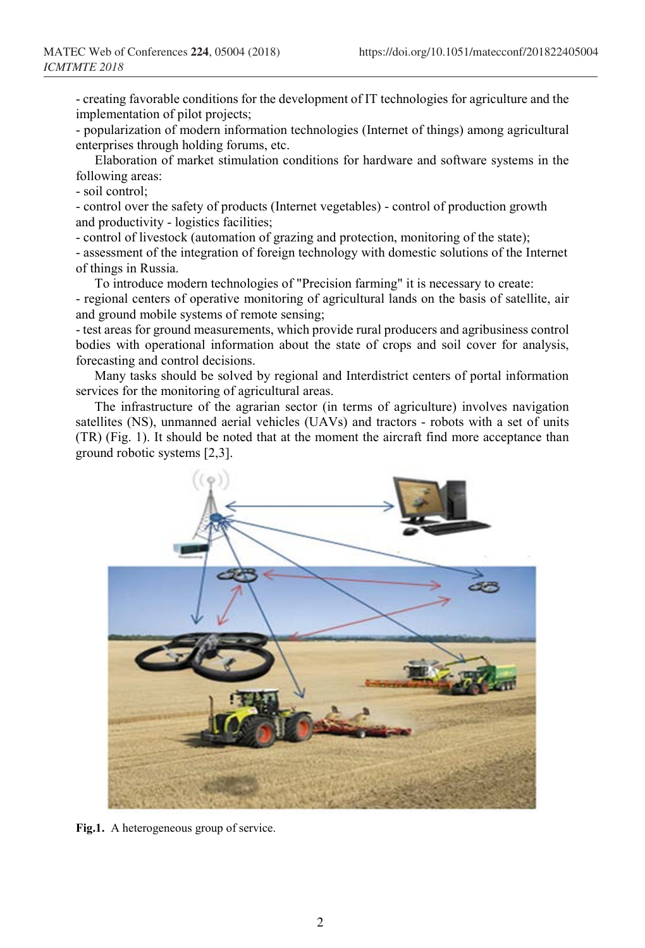- creating favorable conditions for the development of IT technologies for agriculture and the implementation of pilot projects;

- popularization of modern information technologies (Internet of things) among agricultural enterprises through holding forums, etc.

Elaboration of market stimulation conditions for hardware and software systems in the following areas:

- soil control;

- control over the safety of products (Internet vegetables) - control of production growth and productivity - logistics facilities;

- control of livestock (automation of grazing and protection, monitoring of the state);

- assessment of the integration of foreign technology with domestic solutions of the Internet of things in Russia.

To introduce modern technologies of "Precision farming" it is necessary to create:

- regional centers of operative monitoring of agricultural lands on the basis of satellite, air and ground mobile systems of remote sensing;

- test areas for ground measurements, which provide rural producers and agribusiness control bodies with operational information about the state of crops and soil cover for analysis, forecasting and control decisions.

Many tasks should be solved by regional and Interdistrict centers of portal information services for the monitoring of agricultural areas.

The infrastructure of the agrarian sector (in terms of agriculture) involves navigation satellites (NS), unmanned aerial vehicles (UAVs) and tractors - robots with a set of units (TR) (Fig. 1). It should be noted that at the moment the aircraft find more acceptance than ground robotic systems [2,3].



**Fig.1.** A heterogeneous group of service.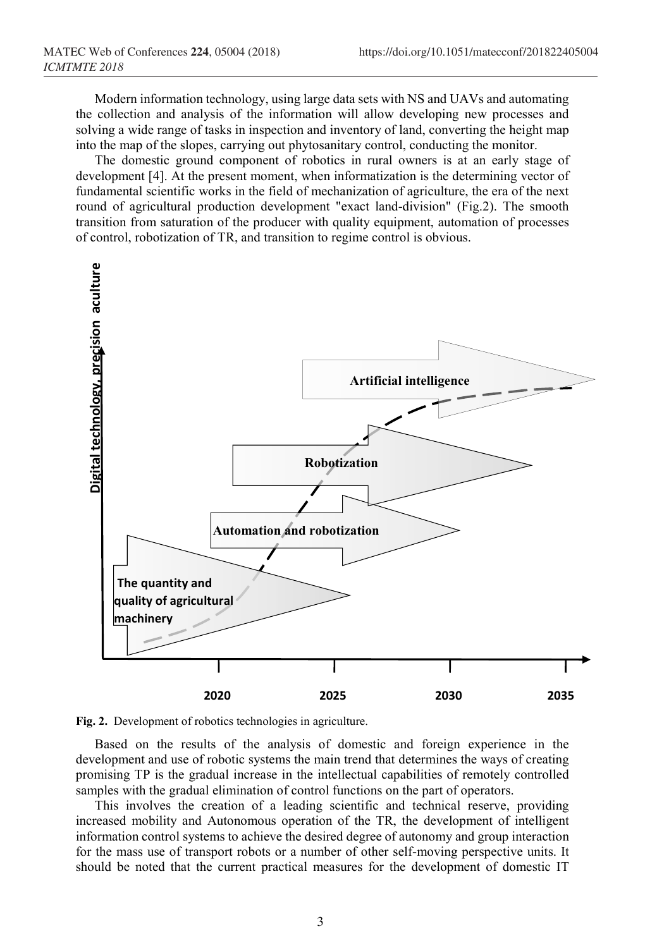Modern information technology, using large data sets with NS and UAVs and automating the collection and analysis of the information will allow developing new processes and solving a wide range of tasks in inspection and inventory of land, converting the height map into the map of the slopes, carrying out phytosanitary control, conducting the monitor.

The domestic ground component of robotics in rural owners is at an early stage of development [4]. At the present moment, when informatization is the determining vector of fundamental scientific works in the field of mechanization of agriculture, the era of the next round of agricultural production development "exact land-division" (Fig.2). The smooth transition from saturation of the producer with quality equipment, automation of processes of control, robotization of TR, and transition to regime control is obvious.





Based on the results of the analysis of domestic and foreign experience in the development and use of robotic systems the main trend that determines the ways of creating promising TP is the gradual increase in the intellectual capabilities of remotely controlled samples with the gradual elimination of control functions on the part of operators.

This involves the creation of a leading scientific and technical reserve, providing increased mobility and Autonomous operation of the TR, the development of intelligent information control systems to achieve the desired degree of autonomy and group interaction for the mass use of transport robots or a number of other self-moving perspective units. It should be noted that the current practical measures for the development of domestic IT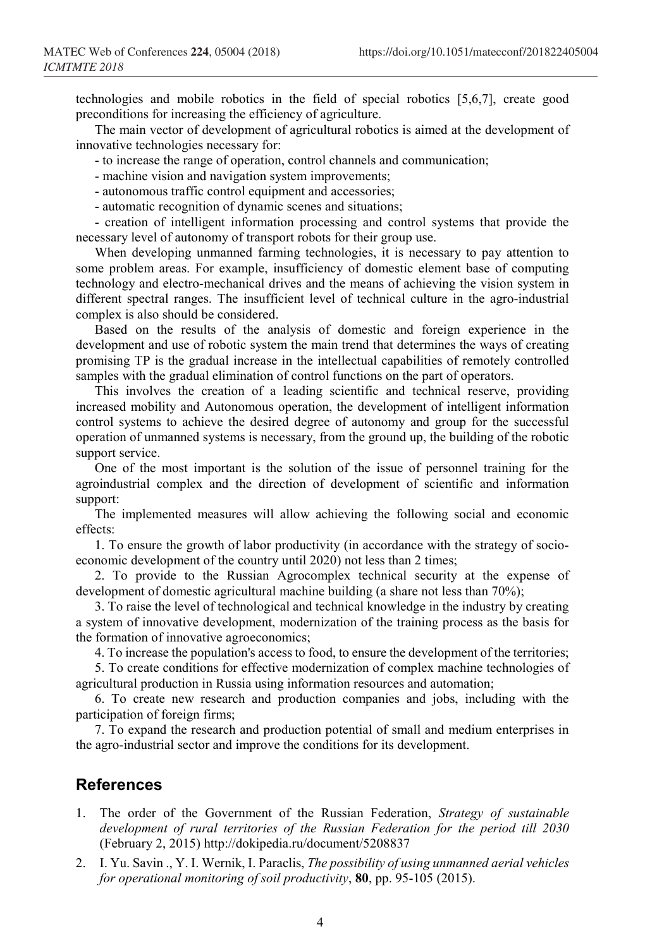technologies and mobile robotics in the field of special robotics [5,6,7], create good preconditions for increasing the efficiency of agriculture.

The main vector of development of agricultural robotics is aimed at the development of innovative technologies necessary for:

- to increase the range of operation, control channels and communication;

- machine vision and navigation system improvements;
- autonomous traffic control equipment and accessories;
- automatic recognition of dynamic scenes and situations;

- creation of intelligent information processing and control systems that provide the necessary level of autonomy of transport robots for their group use.

When developing unmanned farming technologies, it is necessary to pay attention to some problem areas. For example, insufficiency of domestic element base of computing technology and electro-mechanical drives and the means of achieving the vision system in different spectral ranges. The insufficient level of technical culture in the agro-industrial complex is also should be considered.

Based on the results of the analysis of domestic and foreign experience in the development and use of robotic system the main trend that determines the ways of creating promising TP is the gradual increase in the intellectual capabilities of remotely controlled samples with the gradual elimination of control functions on the part of operators.

This involves the creation of a leading scientific and technical reserve, providing increased mobility and Autonomous operation, the development of intelligent information control systems to achieve the desired degree of autonomy and group for the successful operation of unmanned systems is necessary, from the ground up, the building of the robotic support service.

One of the most important is the solution of the issue of personnel training for the agroindustrial complex and the direction of development of scientific and information support:

The implemented measures will allow achieving the following social and economic effects:

1. To ensure the growth of labor productivity (in accordance with the strategy of socioeconomic development of the country until 2020) not less than 2 times;

2. To provide to the Russian Agrocomplex technical security at the expense of development of domestic agricultural machine building (a share not less than 70%);

3. To raise the level of technological and technical knowledge in the industry by creating a system of innovative development, modernization of the training process as the basis for the formation of innovative agroeconomics;

4. To increase the population's access to food, to ensure the development of the territories;

5. To create conditions for effective modernization of complex machine technologies of agricultural production in Russia using information resources and automation;

6. To create new research and production companies and jobs, including with the participation of foreign firms;

7. To expand the research and production potential of small and medium enterprises in the agro-industrial sector and improve the conditions for its development.

## **References**

- 1. The order of the Government of the Russian Federation, *Strategy of sustainable development of rural territories of the Russian Federation for the period till 2030* (February 2, 2015) http://dokipedia.ru/document/5208837
- 2. I. Yu. Savin ., Y. I. Wernik, I. Paraclis, *The possibility of using unmanned aerial vehicles for operational monitoring of soil productivity*, **80**, pp. 95-105 (2015).